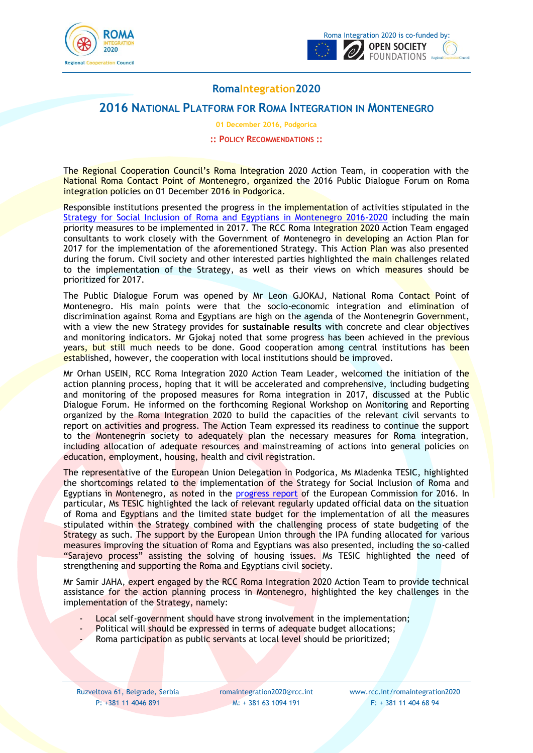



# **RomaIntegration2020**

# **2016 NATIONAL PLATFORM FOR ROMA INTEGRATION IN MONTENEGRO**

**01 December 2016, Podgorica**

## **:: POLICY RECOMMENDATIONS ::**

The Regional Cooperation Council's Roma Integration 2020 Action Team, in cooperation with the National Roma Contact Point of Montenegro, organized the 2016 Public Dialogue Forum on Roma integration policies on 01 December 2016 in Podgorica.

Responsible institutions presented the progress in the implementation of activities stipulated in the [Strategy for Social Inclusion of Roma and Egyptians in Montenegro 2016-2020](http://www.mmp.gov.me/ResourceManager/FileDownload.aspx?rid=236962&rType=2&file=The%20Strategy%20for%20Social%20Inclusion%20of%20Roma%20and%20Egyptians%20in%20Montenegro%202016-2020%20and%20AP%20for%202016.pdf) including the main priority measures to be implemented in 2017. The RCC Roma Integration 2020 Action Team engaged consultants to work closely with the Government of Montenegro in developing an Action Plan for 2017 for the implementation of the aforementioned Strategy. This Action Plan was also presented during the forum. Civil society and other interested parties highlighted the main challenges related to the implementation of the Strategy, as well as their views on which measures should be prioritized for 2017.

The Public Dialogue Forum was opened by Mr Leon GJOKAJ, National Roma Contact Point of Montenegro. His main points were that the socio-economic integration and elimination of discrimination against Roma and Egyptians are high on the agenda of the Montenegrin Government, with a view the new Strategy provides for **sustainable results** with concrete and clear objectives and monitoring indicators. Mr Gjokaj noted that some progress has been achieved in the previous years, but still much needs to be done. Good cooperation among central institutions has been established, however, the cooperation with local institutions should be improved.

Mr Orhan USEIN, RCC Roma Integration 2020 Action Team Leader, welcomed the initiation of the action planning process, hoping that it will be accelerated and comprehensive, including budgeting and monitoring of the proposed measures for Roma integration in 2017, discussed at the Public Dialogue Forum. He informed on the forthcoming Regional Workshop on Monitoring and Reporting organized by the Roma Integration 2020 to build the capacities of the relevant civil servants to report on activities and progress. The Action Team expressed its readiness to continue the support to the Montenegrin society to adequately plan the necessary measures for Roma integration, including allocation of adequate resources and mainstreaming of actions into general policies on education, employment, housing, health and civil registration.

The representative of the European Union Delegation in Podgorica, Ms Mladenka TESIC, highlighted the shortcomings related to the implementation of the Strategy for Social Inclusion of Roma and Egyptians in Montenegro, as noted in the [progress report](http://ec.europa.eu/enlargement/pdf/key_documents/2016/20161109_report_montenegro.pdf) of the European Commission for 2016. In particular, Ms TESIC highlighted the lack of relevant regularly updated official data on the situation of Roma and Egyptians and the limited state budget for the implementation of all the measures stipulated within the Strategy combined with the challenging process of state budgeting of the Strategy as such. The support by the European Union through the IPA funding allocated for various measures improving the situation of Roma and Egyptians was also presented, including the so-called "Sarajevo process" assisting the solving of housing issues. Ms TESIC highlighted the need of strengthening and supporting the Roma and Egyptians civil society.

Mr Samir JAHA, expert engaged by the RCC Roma Integration 2020 Action Team to provide technical assistance for the action planning process in Montenegro, highlighted the key challenges in the implementation of the Strategy, namely:

- Local self-government should have strong involvement in the implementation;
- Political will should be expressed in terms of adequate budget allocations;
- Roma participation as public servants at local level should be prioritized;

P: +381 11 4046 891 M: + 381 63 1094 191 F: + 381 11 404 68 94

Ruzveltova 61, Belgrade, Serbia [romaintegration2020@rcc.int](mailto:romaintegration2020@rcc.int) [www.rcc.int/romaintegration2020](http://www.rcc.int/romaintegration2020)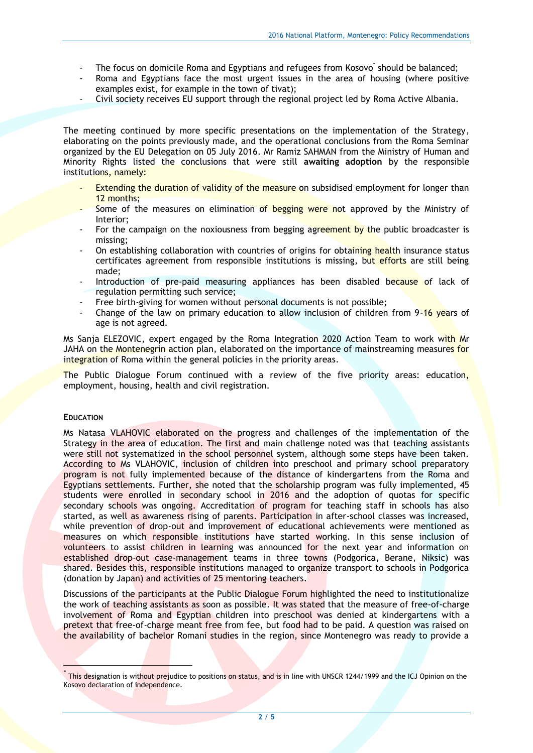- The focus on domicile Roma and Egyptians and refugees from Kosovo<sup>\*</sup> should be balanced;
- Roma and Egyptians face the most urgent issues in the area of housing (where positive examples exist, for example in the town of tivat);
- Civil society receives EU support through the regional project led by Roma Active Albania.

The meeting continued by more specific presentations on the implementation of the Strategy, elaborating on the points previously made, and the operational conclusions from the Roma Seminar organized by the EU Delegation on 05 July 2016. Mr Ramiz SAHMAN from the Ministry of Human and Minority Rights listed the conclusions that were still **awaiting adoption** by the responsible institutions, namely:

- Extending the duration of validity of the measure on subsidised employment for longer than 12 months;
- Some of the measures on elimination of begging were not approved by the Ministry of Interior;
- For the campaign on the noxiousness from begging agreement by the public broadcaster is missing;
- On establishing collaboration with countries of origins for obtaining health insurance status certificates agreement from responsible institutions is missing, but efforts are still being made;
- Introduction of pre-paid measuring appliances has been disabled because of lack of regulation permitting such service;
- Free birth-giving for women without personal documents is not possible;
- Change of the law on primary education to allow inclusion of children from  $9-16$  years of age is not agreed.

Ms Sanja ELEZOVIC, expert engaged by the Roma Integration 2020 Action Team to work with Mr JAHA on the Montenegrin action plan, elaborated on the importance of mainstreaming measures for integration of Roma within the general policies in the priority areas.

The Public Dialogue Forum continued with a review of the five priority areas: education, employment, housing, health and civil registration.

# **EDUCATION**

 $\overline{a}$ 

Ms Natasa VLAHOVIC elaborated on the progress and challenges of the implementation of the Strategy in the area of education. The first and main challenge noted was that teaching assistants were still not systematized in the school personnel system, although some steps have been taken. According to Ms VLAHOVIC, inclusion of children into preschool and primary school preparatory program is not fully implemented because of the distance of kindergartens from the Roma and Egyptians settlements. Further, she noted that the scholarship program was fully implemented, 45 students were enrolled in secondary school in 2016 and the adoption of quotas for specific secondary schools was ongoing. Accreditation of program for teaching staff in schools has also started, as well as awareness rising of parents. Participation in after-school classes was increased, while prevention of drop-out and improvement of educational achievements were mentioned as measures on which responsible institutions have started working. In this sense inclusion of volunteers to assist children in learning was announced for the next year and information on established drop-out case-management teams in three towns (Podgorica, Berane, Niksic) was shared. Besides this, responsible institutions managed to organize transport to schools in Podgorica (donation by Japan) and activities of 25 mentoring teachers.

Discussions of the participants at the Public Dialogue Forum highlighted the need to institutionalize the work of teaching assistants as soon as possible. It was stated that the measure of free-of-charge involvement of Roma and Egyptian children into preschool was denied at kindergartens with a pretext that free-of-charge meant free from fee, but food had to be paid. A question was raised on the availability of bachelor Romani studies in the region, since Montenegro was ready to provide a

<sup>\*</sup> This designation is without prejudice to positions on status, and is in line with UNSCR 1244/1999 and the ICJ Opinion on the Kosovo declaration of independence.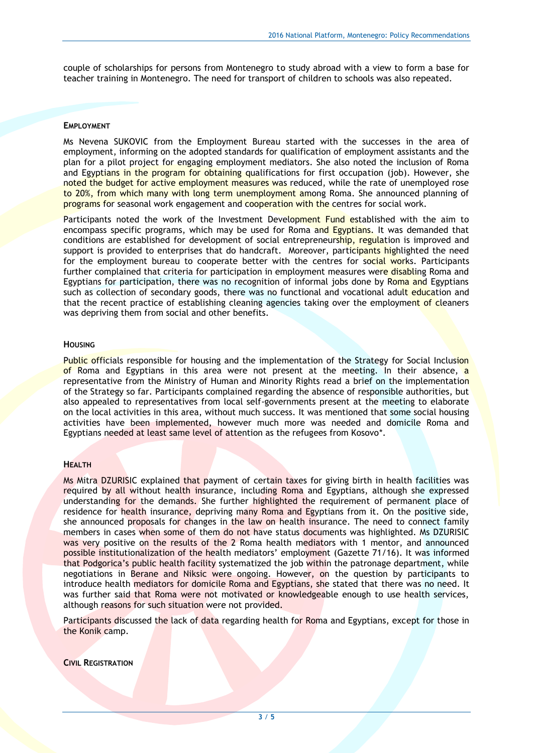couple of scholarships for persons from Montenegro to study abroad with a view to form a base for teacher training in Montenegro. The need for transport of children to schools was also repeated.

#### **EMPLOYMENT**

Ms Nevena SUKOVIC from the Employment Bureau started with the successes in the area of employment, informing on the adopted standards for qualification of employment assistants and the plan for a pilot project for engaging employment mediators. She also noted the inclusion of Roma and Egyptians in the program for obtaining qualifications for first occupation (job). However, she noted the budget for active employment measures was reduced, while the rate of unemployed rose to 20%, from which many with long term unemployment among Roma. She announced planning of programs for seasonal work engagement and cooperation with the centres for social work.

Participants noted the work of the Investment Development Fund established with the aim to encompass specific programs, which may be used for Roma and Egyptians. It was demanded that conditions are established for development of social entrepreneurship, regulation is improved and support is provided to enterprises that do handcraft. Moreover, participants highlighted the need for the employment bureau to cooperate better with the centres for social works. Participants further complained that criteria for participation in employment measures were disabling Roma and Egyptians for participation, there was no recognition of informal jobs done by Roma and Egyptians such as collection of secondary goods, there was no functional and vocational adult education and that the recent practice of establishing cleaning agencies taking over the employment of cleaners was depriving them from social and other benefits.

#### **HOUSING**

Public officials responsible for housing and the implementation of the Strategy for Social Inclusion of Roma and Egyptians in this area were not present at the meeting. In their absence, a representative from the Ministry of Human and Minority Rights read a brief on the implementation of the Strategy so far. Participants complained regarding the absence of responsible authorities, but also appealed to representatives from local self-governments present at the meeting to elaborate on the local activities in this area, without much success. It was mentioned that some social housing activities have been implemented, however much more was needed and domicile Roma and Egyptians needed at least same level of attention as the refugees from Kosovo\*.

## **HEALTH**

Ms Mitra DZURISIC explained that payment of certain taxes for giving birth in health facilities was required by all without health insurance, including Roma and Egyptians, although she expressed understanding for the demands. She further highlighted the requirement of permanent place of residence for health insurance, depriving many Roma and Egyptians from it. On the positive side, she announced proposals for changes in the law on health insurance. The need to connect family members in cases when some of them do not have status documents was highlighted. Ms DZURISIC was very positive on the results of the 2 Roma health mediators with 1 mentor, and announced possible institutionalization of the health mediators' employment (Gazette 71/16). It was informed that Podgorica's public health facility systematized the job within the patronage department, while negotiations in Berane and Niksic were ongoing. However, on the question by participants to introduce health mediators for domicile Roma and Egyptians, she stated that there was no need. It was further said that Roma were not motivated or knowledgeable enough to use health services, although reasons for such situation were not provided.

Participants discussed the lack of data regarding health for Roma and Egyptians, except for those in the Konik camp.

**CIVIL REGISTRATION**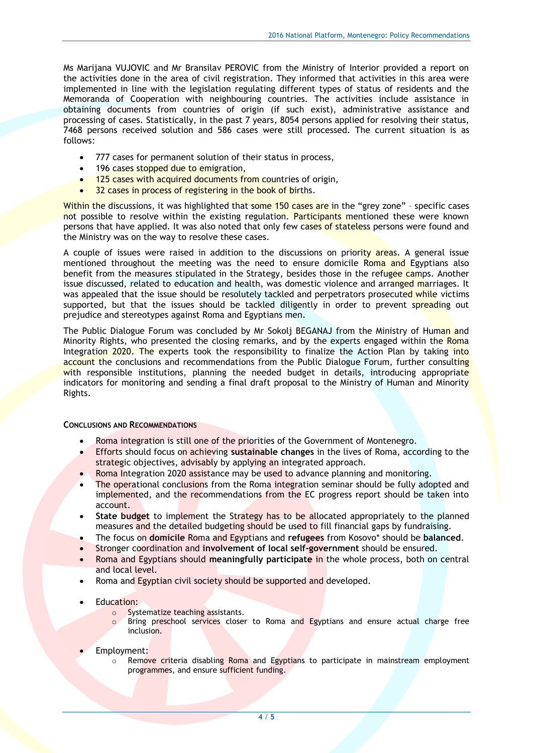Ms Marijana VUJOVIC and Mr Bransilav PEROVIC from the Ministry of Interior provided a report on the activities done in the area of civil registration. They informed that activities in this area were implemented in line with the legislation regulating different types of status of residents and the Memoranda of Cooperation with neighbouring countries. The activities include assistance in obtaining documents from countries of origin (if such exist), administrative assistance and processing of cases. Statistically, in the past 7 years, 8054 persons applied for resolving their status, 7468 persons received solution and 586 cases were still processed. The current situation is as follows:

- 777 cases for permanent solution of their status in process,
- 196 cases stopped due to emigration,
- 125 cases with acquired documents from countries of origin,
- 32 cases in process of registering in the book of births.

Within the discussions, it was highlighted that some 150 cases are in the "grey zone" - specific cases not possible to resolve within the existing regulation. Participants mentioned these were known persons that have applied. It was also noted that only few cases of stateless persons were found and the Ministry was on the way to resolve these cases.

A couple of issues were raised in addition to the discussions on priority areas. A general issue mentioned throughout the meeting was the need to ensure domicile Roma and Egyptians also benefit from the measures stipulated in the Strategy, besides those in the refugee camps. Another issue discussed, related to education and health, was domestic violence and arranged marriages. It was appealed that the issue should be resolutely tackled and perpetrators prosecuted while victims supported, but that the issues should be tackled diligently in order to prevent spreading out prejudice and stereotypes against Roma and Egyptians men.

The Public Dialogue Forum was concluded by Mr Sokolj BEGANAJ from the Ministry of Human and Minority Rights, who presented the closing remarks, and by the experts engaged within the Roma Integration 2020. The experts took the responsibility to finalize the Action Plan by taking into account the conclusions and recommendations from the Public Dialogue Forum, further consulting with responsible institutions, planning the needed budget in details, introducing appropriate indicators for monitoring and sending a final draft proposal to the Ministry of Human and Minority Rights.

### **CONCLUSIONS AND RECOMMENDATIONS**

- Roma integration is still one of the priorities of the Government of Montenegro.
- Efforts should focus on achieving **sustainable changes** in the lives of Roma, according to the strategic objectives, advisably by applying an integrated approach.
- Roma Integration 2020 assistance may be used to advance planning and monitoring.
- The operational conclusions from the Roma integration seminar should be fully adopted and implemented, and the recommendations from the EC progress report should be taken into account.
- **State budget** to implement the Strategy has to be allocated appropriately to the planned measures and the detailed budgeting should be used to fill financial gaps by fundraising.
- The focus on **domicile** Roma and Egyptians and **refugees** from Kosovo\* should be **balanced**.
- Stronger coordination and **involvement of local self-government** should be ensured.
- Roma and Egyptians should **meaningfully participate** in the whole process, both on central and local level.
- Roma and Egyptian civil society should be supported and developed.
- Education:
	- o Systematize teaching assistants.
	- o Bring preschool services closer to Roma and Egyptians and ensure actual charge free inclusion.
- Employment:
	- Remove criteria disabling Roma and Egyptians to participate in mainstream employment programmes, and ensure sufficient funding.